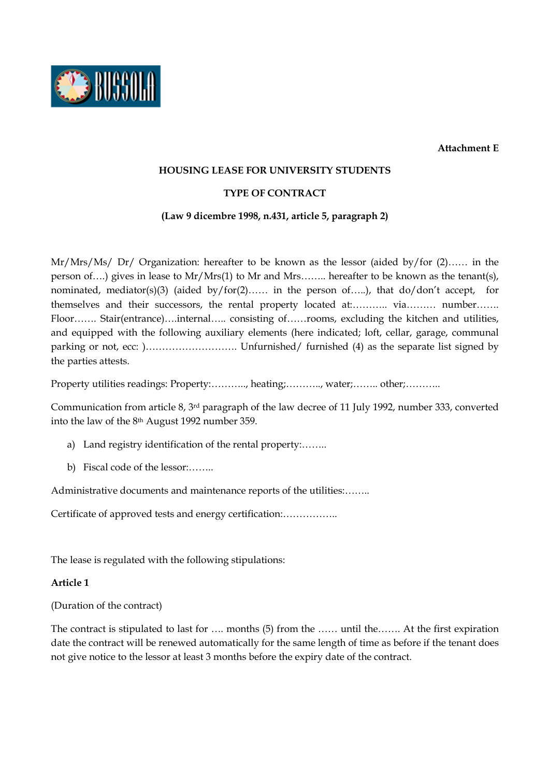**Attachment E** 



#### **HOUSING LEASE FOR UNIVERSITY STUDENTS**

#### **TYPE OF CONTRACT**

#### **(Law 9 dicembre 1998, n.431, article 5, paragraph 2)**

Mr/Mrs/Ms/ Dr/ Organization: hereafter to be known as the lessor (aided by/for (2)…… in the person of….) gives in lease to Mr/Mrs(1) to Mr and Mrs…….. hereafter to be known as the tenant(s), nominated, mediator(s)(3) (aided by/for(2)…… in the person of…..), that do/don't accept, for themselves and their successors, the rental property located at:……….. via……… number……. Floor……. Stair(entrance)….internal….. consisting of……rooms, excluding the kitchen and utilities, and equipped with the following auxiliary elements (here indicated; loft, cellar, garage, communal parking or not, ecc: )………………………. Unfurnished/ furnished (4) as the separate list signed by the parties attests.

Property utilities readings: Property:..........., heating;..........., water;......... other;...........

Communication from article 8, 3rd paragraph of the law decree of 11 July 1992, number 333, converted into the law of the 8th August 1992 number 359.

- a) Land registry identification of the rental property:……..
- b) Fiscal code of the lessor:……..

Administrative documents and maintenance reports of the utilities:……..

Certificate of approved tests and energy certification:……………..

The lease is regulated with the following stipulations:

#### **Article 1**

(Duration of the contract)

The contract is stipulated to last for …. months (5) from the …… until the……. At the first expiration date the contract will be renewed automatically for the same length of time as before if the tenant does not give notice to the lessor at least 3 months before the expiry date of the contract.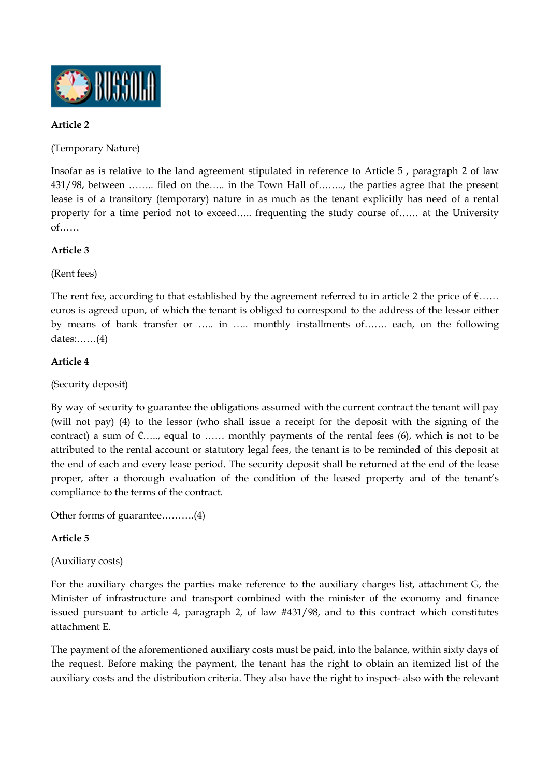

### **Article 2**

(Temporary Nature)

Insofar as is relative to the land agreement stipulated in reference to Article 5 , paragraph 2 of law 431/98, between …….. filed on the….. in the Town Hall of…….., the parties agree that the present lease is of a transitory (temporary) nature in as much as the tenant explicitly has need of a rental property for a time period not to exceed….. frequenting the study course of…… at the University of……

## **Article 3**

(Rent fees)

The rent fee, according to that established by the agreement referred to in article 2 the price of  $\epsilon$ …… euros is agreed upon, of which the tenant is obliged to correspond to the address of the lessor either by means of bank transfer or ….. in ….. monthly installments of……. each, on the following dates:……(4)

### **Article 4**

(Security deposit)

By way of security to guarantee the obligations assumed with the current contract the tenant will pay (will not pay) (4) to the lessor (who shall issue a receipt for the deposit with the signing of the contract) a sum of  $\epsilon$ ....., equal to ...... monthly payments of the rental fees (6), which is not to be attributed to the rental account or statutory legal fees, the tenant is to be reminded of this deposit at the end of each and every lease period. The security deposit shall be returned at the end of the lease proper, after a thorough evaluation of the condition of the leased property and of the tenant's compliance to the terms of the contract.

Other forms of guarantee……….(4)

#### **Article 5**

(Auxiliary costs)

For the auxiliary charges the parties make reference to the auxiliary charges list, attachment G, the Minister of infrastructure and transport combined with the minister of the economy and finance issued pursuant to article 4, paragraph 2, of law #431/98, and to this contract which constitutes attachment E.

The payment of the aforementioned auxiliary costs must be paid, into the balance, within sixty days of the request. Before making the payment, the tenant has the right to obtain an itemized list of the auxiliary costs and the distribution criteria. They also have the right to inspect- also with the relevant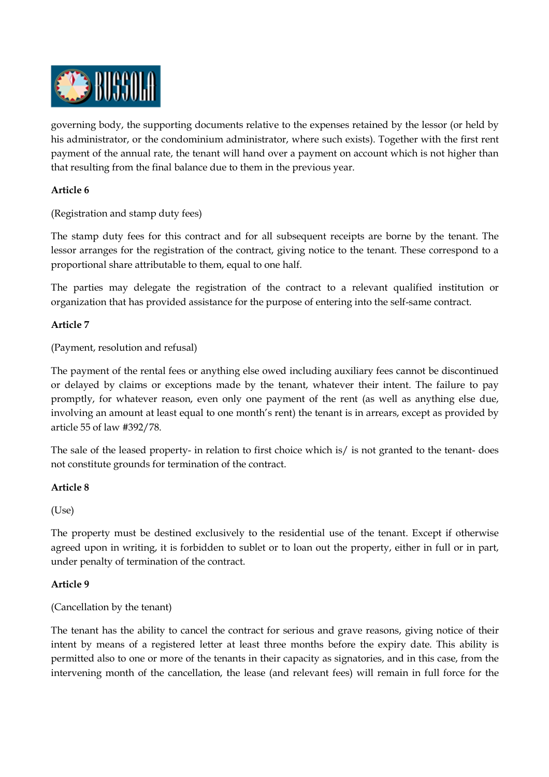

governing body, the supporting documents relative to the expenses retained by the lessor (or held by his administrator, or the condominium administrator, where such exists). Together with the first rent payment of the annual rate, the tenant will hand over a payment on account which is not higher than that resulting from the final balance due to them in the previous year.

### **Article 6**

(Registration and stamp duty fees)

The stamp duty fees for this contract and for all subsequent receipts are borne by the tenant. The lessor arranges for the registration of the contract, giving notice to the tenant. These correspond to a proportional share attributable to them, equal to one half.

The parties may delegate the registration of the contract to a relevant qualified institution or organization that has provided assistance for the purpose of entering into the self-same contract.

#### **Article 7**

(Payment, resolution and refusal)

The payment of the rental fees or anything else owed including auxiliary fees cannot be discontinued or delayed by claims or exceptions made by the tenant, whatever their intent. The failure to pay promptly, for whatever reason, even only one payment of the rent (as well as anything else due, involving an amount at least equal to one month's rent) the tenant is in arrears, except as provided by article 55 of law #392/78.

The sale of the leased property- in relation to first choice which is/ is not granted to the tenant- does not constitute grounds for termination of the contract.

#### **Article 8**

(Use)

The property must be destined exclusively to the residential use of the tenant. Except if otherwise agreed upon in writing, it is forbidden to sublet or to loan out the property, either in full or in part, under penalty of termination of the contract.

#### **Article 9**

(Cancellation by the tenant)

The tenant has the ability to cancel the contract for serious and grave reasons, giving notice of their intent by means of a registered letter at least three months before the expiry date. This ability is permitted also to one or more of the tenants in their capacity as signatories, and in this case, from the intervening month of the cancellation, the lease (and relevant fees) will remain in full force for the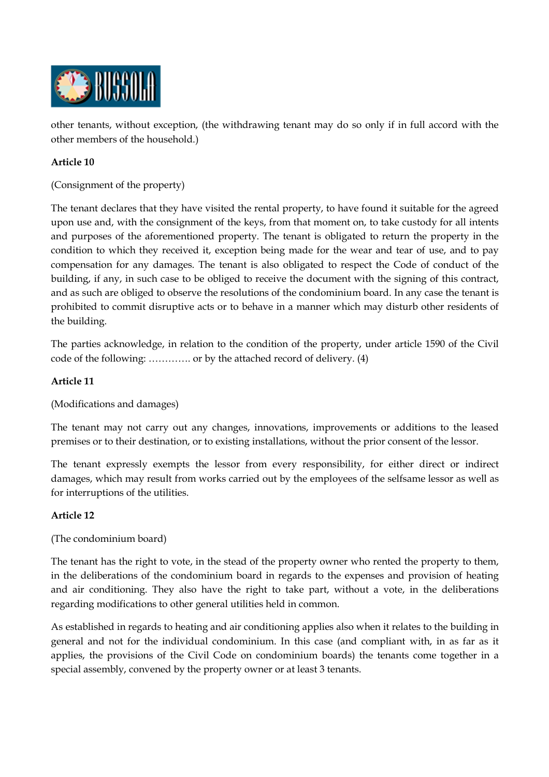

other tenants, without exception, (the withdrawing tenant may do so only if in full accord with the other members of the household.)

## **Article 10**

(Consignment of the property)

The tenant declares that they have visited the rental property, to have found it suitable for the agreed upon use and, with the consignment of the keys, from that moment on, to take custody for all intents and purposes of the aforementioned property. The tenant is obligated to return the property in the condition to which they received it, exception being made for the wear and tear of use, and to pay compensation for any damages. The tenant is also obligated to respect the Code of conduct of the building, if any, in such case to be obliged to receive the document with the signing of this contract, and as such are obliged to observe the resolutions of the condominium board. In any case the tenant is prohibited to commit disruptive acts or to behave in a manner which may disturb other residents of the building.

The parties acknowledge, in relation to the condition of the property, under article 1590 of the Civil code of the following: …………. or by the attached record of delivery. (4)

### **Article 11**

(Modifications and damages)

The tenant may not carry out any changes, innovations, improvements or additions to the leased premises or to their destination, or to existing installations, without the prior consent of the lessor.

The tenant expressly exempts the lessor from every responsibility, for either direct or indirect damages, which may result from works carried out by the employees of the selfsame lessor as well as for interruptions of the utilities.

### **Article 12**

### (The condominium board)

The tenant has the right to vote, in the stead of the property owner who rented the property to them, in the deliberations of the condominium board in regards to the expenses and provision of heating and air conditioning. They also have the right to take part, without a vote, in the deliberations regarding modifications to other general utilities held in common.

As established in regards to heating and air conditioning applies also when it relates to the building in general and not for the individual condominium. In this case (and compliant with, in as far as it applies, the provisions of the Civil Code on condominium boards) the tenants come together in a special assembly, convened by the property owner or at least 3 tenants.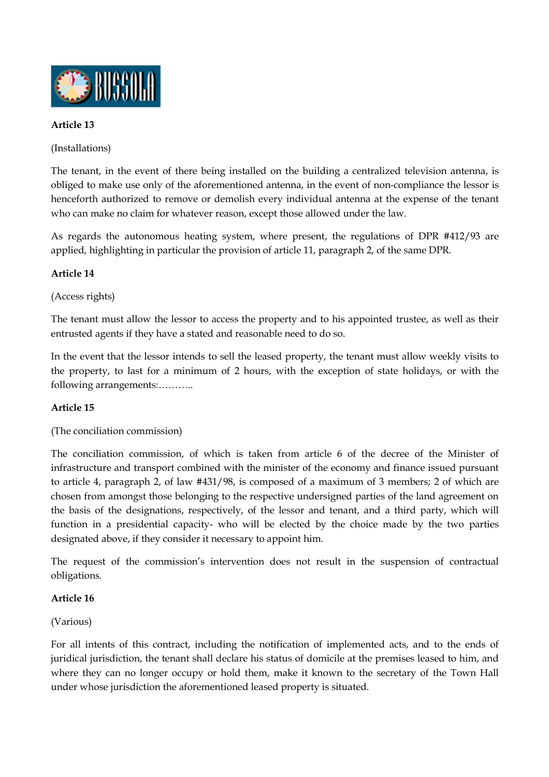

## **Article 13**

(Installations)

The tenant, in the event of there being installed on the building a centralized television antenna, is obliged to make use only of the aforementioned antenna, in the event of non-compliance the lessor is henceforth authorized to remove or demolish every individual antenna at the expense of the tenant who can make no claim for whatever reason, except those allowed under the law.

As regards the autonomous heating system, where present, the regulations of DPR #412/93 are applied, highlighting in particular the provision of article 11, paragraph 2, of the same DPR.

# **Article 14**

(Access rights)

The tenant must allow the lessor to access the property and to his appointed trustee, as well as their entrusted agents if they have a stated and reasonable need to do so.

In the event that the lessor intends to sell the leased property, the tenant must allow weekly visits to the property, to last for a minimum of 2 hours, with the exception of state holidays, or with the following arrangements:………..

### **Article 15**

(The conciliation commission)

The conciliation commission, of which is taken from article 6 of the decree of the Minister of infrastructure and transport combined with the minister of the economy and finance issued pursuant to article 4, paragraph 2, of law #431/98, is composed of a maximum of 3 members; 2 of which are chosen from amongst those belonging to the respective undersigned parties of the land agreement on the basis of the designations, respectively, of the lessor and tenant, and a third party, which will function in a presidential capacity- who will be elected by the choice made by the two parties designated above, if they consider it necessary to appoint him.

The request of the commission's intervention does not result in the suspension of contractual obligations.

### **Article 16**

#### (Various)

For all intents of this contract, including the notification of implemented acts, and to the ends of juridical jurisdiction, the tenant shall declare his status of domicile at the premises leased to him, and where they can no longer occupy or hold them, make it known to the secretary of the Town Hall under whose jurisdiction the aforementioned leased property is situated.